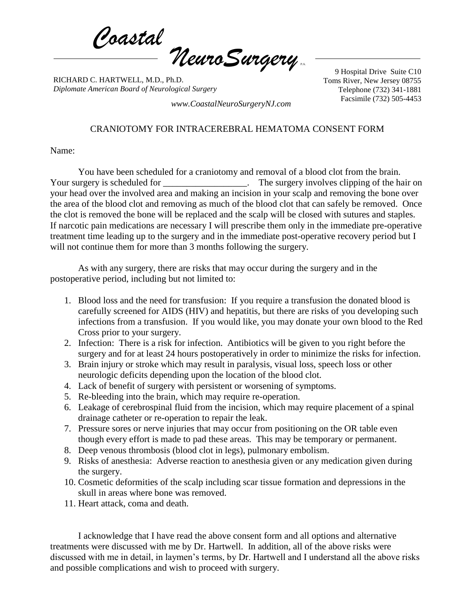*Coastal NeuroSurgery* P.A.

RICHARD C. HARTWELL, M.D., Ph.D. *Diplomate American Board of Neurological Surgery*

9 Hospital Drive Suite C10 Toms River, New Jersey 08755 Telephone (732) 341-1881 Facsimile (732) 505-4453 *www.CoastalNeuroSurgeryNJ.com*

CRANIOTOMY FOR INTRACEREBRAL HEMATOMA CONSENT FORM

Name:

You have been scheduled for a craniotomy and removal of a blood clot from the brain. Your surgery is scheduled for \_\_\_\_\_\_\_\_\_\_\_\_\_\_\_\_\_. The surgery involves clipping of the hair on your head over the involved area and making an incision in your scalp and removing the bone over the area of the blood clot and removing as much of the blood clot that can safely be removed. Once the clot is removed the bone will be replaced and the scalp will be closed with sutures and staples. If narcotic pain medications are necessary I will prescribe them only in the immediate pre-operative treatment time leading up to the surgery and in the immediate post-operative recovery period but I will not continue them for more than 3 months following the surgery.

As with any surgery, there are risks that may occur during the surgery and in the postoperative period, including but not limited to:

- 1. Blood loss and the need for transfusion: If you require a transfusion the donated blood is carefully screened for AIDS (HIV) and hepatitis, but there are risks of you developing such infections from a transfusion. If you would like, you may donate your own blood to the Red Cross prior to your surgery.
- 2. Infection: There is a risk for infection. Antibiotics will be given to you right before the surgery and for at least 24 hours postoperatively in order to minimize the risks for infection.
- 3. Brain injury or stroke which may result in paralysis, visual loss, speech loss or other neurologic deficits depending upon the location of the blood clot.
- 4. Lack of benefit of surgery with persistent or worsening of symptoms.
- 5. Re-bleeding into the brain, which may require re-operation.
- 6. Leakage of cerebrospinal fluid from the incision, which may require placement of a spinal drainage catheter or re-operation to repair the leak.
- 7. Pressure sores or nerve injuries that may occur from positioning on the OR table even though every effort is made to pad these areas. This may be temporary or permanent.
- 8. Deep venous thrombosis (blood clot in legs), pulmonary embolism.
- 9. Risks of anesthesia: Adverse reaction to anesthesia given or any medication given during the surgery.
- 10. Cosmetic deformities of the scalp including scar tissue formation and depressions in the skull in areas where bone was removed.
- 11. Heart attack, coma and death.

I acknowledge that I have read the above consent form and all options and alternative treatments were discussed with me by Dr. Hartwell. In addition, all of the above risks were discussed with me in detail, in laymen's terms, by Dr. Hartwell and I understand all the above risks and possible complications and wish to proceed with surgery.